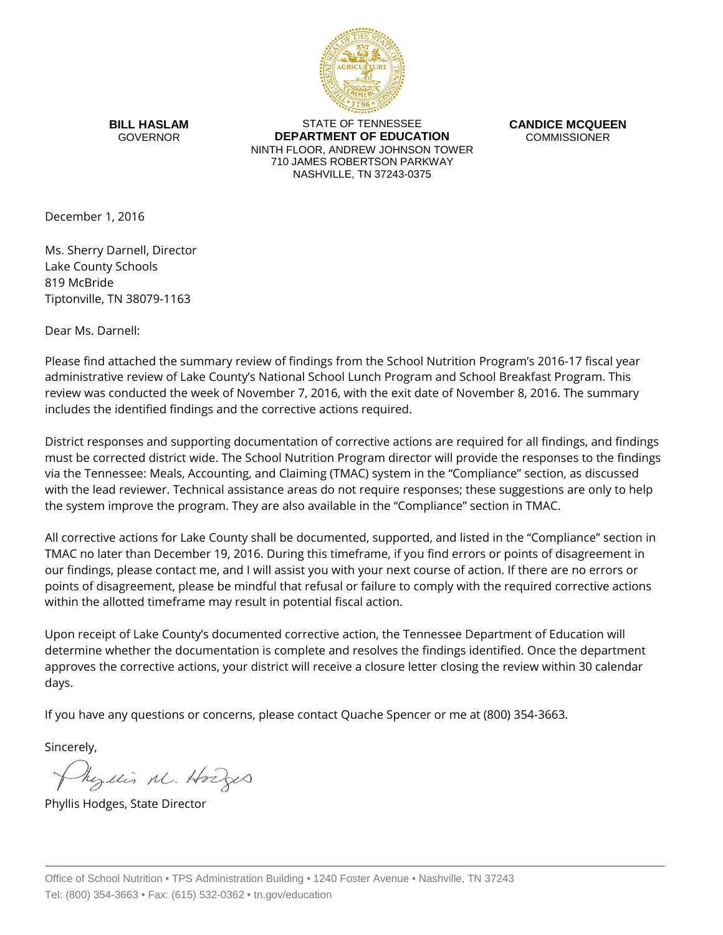

**BILL HASLAM** GOVERNOR

STATE OF TENNESSEE **DEPARTMENT OF EDUCATION** NINTH FLOOR, ANDREW JOHNSON TOWER 710 JAMES ROBERTSON PARKWAY NASHVILLE, TN 37243-0375

**CANDICE MCQUEEN** COMMISSIONER

December 1, 2016

Ms. Sherry Darnell, Director Lake County Schools 819 McBride Tiptonville, TN 38079-1163

Dear Ms. Darnell:

Please find attached the summary review of findings from the School Nutrition Program's 2016-17 fiscal year administrative review of Lake County's National School Lunch Program and School Breakfast Program. This review was conducted the week of November 7, 2016, with the exit date of November 8, 2016. The summary includes the identified findings and the corrective actions required.

District responses and supporting documentation of corrective actions are required for all findings, and findings must be corrected district wide. The School Nutrition Program director will provide the responses to the findings via the Tennessee: Meals, Accounting, and Claiming (TMAC) system in the "Compliance" section, as discussed with the lead reviewer. Technical assistance areas do not require responses; these suggestions are only to help the system improve the program. They are also available in the "Compliance" section in TMAC.

All corrective actions for Lake County shall be documented, supported, and listed in the "Compliance" section in TMAC no later than December 19, 2016. During this timeframe, if you find errors or points of disagreement in our findings, please contact me, and I will assist you with your next course of action. If there are no errors or points of disagreement, please be mindful that refusal or failure to comply with the required corrective actions within the allotted timeframe may result in potential fiscal action.

Upon receipt of Lake County's documented corrective action, the Tennessee Department of Education will determine whether the documentation is complete and resolves the findings identified. Once the department approves the corrective actions, your district will receive a closure letter closing the review within 30 calendar days.

If you have any questions or concerns, please contact Quache Spencer or me at (800) 354-3663.

Sincerely,

Myllis M. Hodges

Phyllis Hodges, State Director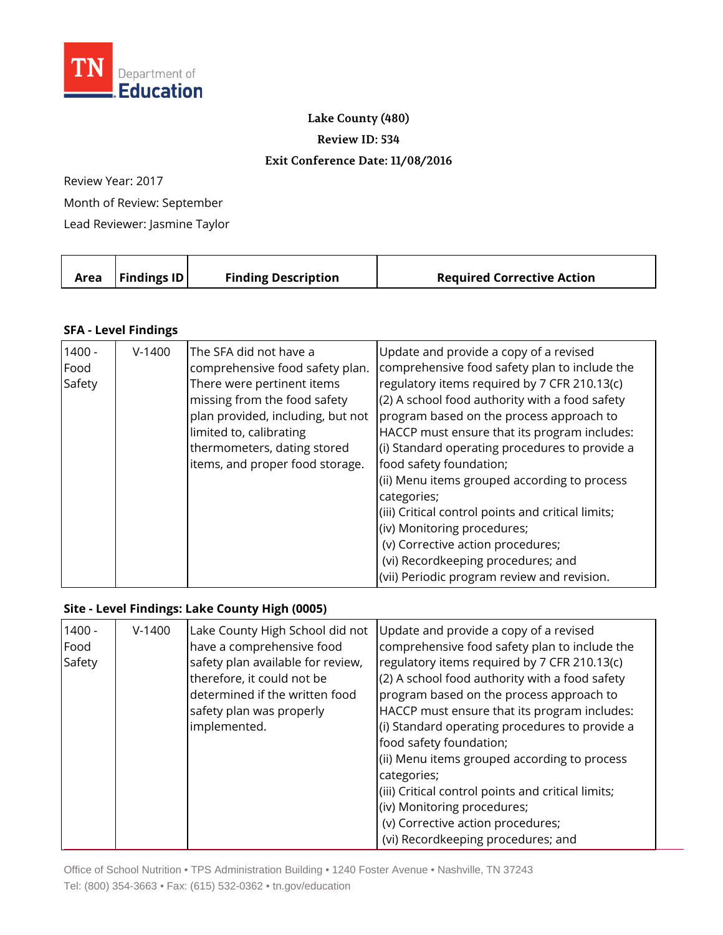

**Lake County (480)**

**Review ID: 534**

## **Exit Conference Date: 11/08/2016**

Review Year: 2017

Month of Review: September

Lead Reviewer: Jasmine Taylor

|  |  | Area   Findings ID | <b>Finding Description</b> | <b>Required Corrective Action</b> |
|--|--|--------------------|----------------------------|-----------------------------------|
|--|--|--------------------|----------------------------|-----------------------------------|

## **SFA - Level Findings**

| $1400 -$<br>Food | $V-1400$ | The SFA did not have a<br>comprehensive food safety plan. | Update and provide a copy of a revised<br>comprehensive food safety plan to include the |
|------------------|----------|-----------------------------------------------------------|-----------------------------------------------------------------------------------------|
| Safety           |          | There were pertinent items                                | regulatory items required by 7 CFR 210.13(c)                                            |
|                  |          | missing from the food safety                              | (2) A school food authority with a food safety                                          |
|                  |          | plan provided, including, but not                         | program based on the process approach to                                                |
|                  |          | limited to, calibrating                                   | HACCP must ensure that its program includes:                                            |
|                  |          | thermometers, dating stored                               | (i) Standard operating procedures to provide a                                          |
|                  |          | items, and proper food storage.                           | food safety foundation;                                                                 |
|                  |          |                                                           | (ii) Menu items grouped according to process                                            |
|                  |          |                                                           | categories;                                                                             |
|                  |          |                                                           | (iii) Critical control points and critical limits;                                      |
|                  |          |                                                           | (iv) Monitoring procedures;                                                             |
|                  |          |                                                           | (v) Corrective action procedures;                                                       |
|                  |          |                                                           | (vi) Recordkeeping procedures; and                                                      |
|                  |          |                                                           | (vii) Periodic program review and revision.                                             |

## **Site - Level Findings: Lake County High (0005)**

| $1400 -$<br>Food | $V-1400$ | Lake County High School did not<br>have a comprehensive food | Update and provide a copy of a revised<br>comprehensive food safety plan to include the |
|------------------|----------|--------------------------------------------------------------|-----------------------------------------------------------------------------------------|
| Safety           |          | safety plan available for review,                            | regulatory items required by 7 CFR 210.13(c)                                            |
|                  |          | therefore, it could not be                                   | (2) A school food authority with a food safety                                          |
|                  |          | determined if the written food                               | program based on the process approach to                                                |
|                  |          | safety plan was properly                                     | HACCP must ensure that its program includes:                                            |
|                  |          | implemented.                                                 | (i) Standard operating procedures to provide a                                          |
|                  |          |                                                              | food safety foundation;                                                                 |
|                  |          |                                                              | (ii) Menu items grouped according to process                                            |
|                  |          |                                                              | categories;                                                                             |
|                  |          |                                                              | (iii) Critical control points and critical limits;                                      |
|                  |          |                                                              | (iv) Monitoring procedures;                                                             |
|                  |          |                                                              | (v) Corrective action procedures;                                                       |
|                  |          |                                                              | (vi) Recordkeeping procedures; and                                                      |